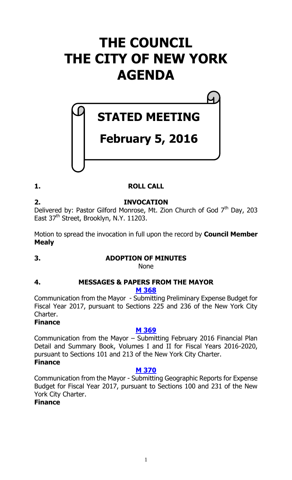# **THE COUNCIL THE CITY OF NEW YORK AGENDA**

# **STATED MEETING**

# **February 5, 2016**

# **1. ROLL CALL**

**2. INVOCATION** Delivered by: Pastor Gilford Monrose, Mt. Zion Church of God  $7<sup>th</sup>$  Day, 203 East 37<sup>th</sup> Street, Brooklyn, N.Y. 11203.

Motion to spread the invocation in full upon the record by **Council Member Mealy**

# **3. ADOPTION OF MINUTES**

None

# **4. MESSAGES & PAPERS FROM THE MAYOR**

#### **M [368](http://legistar.council.nyc.gov/LegislationDetail.aspx?ID=2564429&GUID=15DDB590-3542-4933-BB95-A78004FB6AFF&Options=ID|Text|&Search=)**

Communication from the Mayor - Submitting Preliminary Expense Budget for Fiscal Year 2017, pursuant to Sections 225 and 236 of the New York City Charter.

# **Finance**

# **M [369](http://legistar.council.nyc.gov/LegislationDetail.aspx?ID=2564430&GUID=B25144E0-E523-4367-A52E-6056E57F2F93&Options=ID|Text|&Search=)**

Communication from the Mayor – Submitting February 2016 Financial Plan Detail and Summary Book, Volumes I and II for Fiscal Years 2016-2020, pursuant to Sections 101 and 213 of the New York City Charter. **Finance**

# **M [370](http://legistar.council.nyc.gov/LegislationDetail.aspx?ID=2564431&GUID=17CB52FA-D45E-4AFC-B479-A6D4E3056A7A&Options=ID|Text|&Search=)**

Communication from the Mayor - Submitting Geographic Reports for Expense Budget for Fiscal Year 2017, pursuant to Sections 100 and 231 of the New York City Charter.

# **Finance**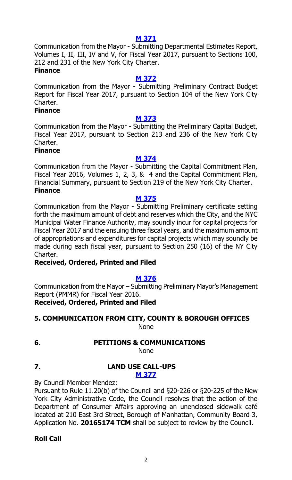#### **M [371](http://legistar.council.nyc.gov/LegislationDetail.aspx?ID=2564432&GUID=9703D996-9EC6-4FED-8387-86F3F717AA61&Options=ID|Text|&Search=)**

Communication from the Mayor - Submitting Departmental Estimates Report, Volumes I, II, III, IV and V, for Fiscal Year 2017, pursuant to Sections 100, 212 and 231 of the New York City Charter.

# **Finance**

#### **M [372](http://legistar.council.nyc.gov/LegislationDetail.aspx?ID=2564433&GUID=2DDAE97A-D9E6-4B5A-8990-6DAEA14836D2&Options=ID|Text|&Search=)**

Communication from the Mayor - Submitting Preliminary Contract Budget Report for Fiscal Year 2017, pursuant to Section 104 of the New York City Charter.

# **Finance**

#### **M [373](http://legistar.council.nyc.gov/LegislationDetail.aspx?ID=2564434&GUID=048D98A6-1024-49C3-BC20-78F62C5F2CC7&Options=ID|Text|&Search=)**

Communication from the Mayor - Submitting the Preliminary Capital Budget, Fiscal Year 2017, pursuant to Section 213 and 236 of the New York City Charter.

#### **Finance**

#### **M [374](http://legistar.council.nyc.gov/LegislationDetail.aspx?ID=2564435&GUID=B4266523-060D-4C8E-B37D-E1321AB20D5F&Options=ID|Text|&Search=)**

Communication from the Mayor - Submitting the Capital Commitment Plan, Fiscal Year 2016, Volumes 1, 2, 3, & 4 and the Capital Commitment Plan, Financial Summary, pursuant to Section 219 of the New York City Charter. **Finance**

#### **M [375](http://legistar.council.nyc.gov/LegislationDetail.aspx?ID=2564436&GUID=4BC6FAB4-9F26-454F-877C-329C0187EE00&Options=ID|Text|&Search=)**

Communication from the Mayor - Submitting Preliminary certificate setting forth the maximum amount of debt and reserves which the City, and the NYC Municipal Water Finance Authority, may soundly incur for capital projects for Fiscal Year 2017 and the ensuing three fiscal years, and the maximum amount of appropriations and expenditures for capital projects which may soundly be made during each fiscal year, pursuant to Section 250 (16) of the NY City Charter.

#### **Received, Ordered, Printed and Filed**

#### **M [376](http://legistar.council.nyc.gov/LegislationDetail.aspx?ID=2564484&GUID=07252664-2A96-42FC-B959-6CB9BA20D69B&Options=ID%7cText%7c&Search=)**

Communication from the Mayor – Submitting Preliminary Mayor's Management Report (PMMR) for Fiscal Year 2016. **Received, Ordered, Printed and Filed** 

#### **5. COMMUNICATION FROM CITY, COUNTY & BOROUGH OFFICES** None

# **6. PETITIONS & COMMUNICATIONS**

None

**M [377](http://legistar.council.nyc.gov/LegislationDetail.aspx?ID=2564437&GUID=1468FA63-C0C6-4348-B283-2177D01827A1&Options=ID|Text|&Search=)**

# **7. LAND USE CALL-UPS**

By Council Member Mendez:

Pursuant to Rule 11.20(b) of the Council and §20-226 or §20-225 of the New York City Administrative Code, the Council resolves that the action of the Department of Consumer Affairs approving an unenclosed sidewalk café located at 210 East 3rd Street, Borough of Manhattan, Community Board 3, Application No. **20165174 TCM** shall be subject to review by the Council.

# **Roll Call**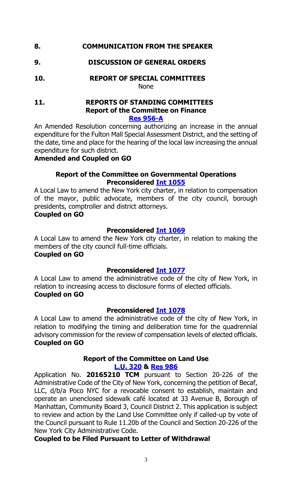## **8. COMMUNICATION FROM THE SPEAKER**

#### **9. DISCUSSION OF GENERAL ORDERS**

**10. REPORT OF SPECIAL COMMITTEES** None

#### **11. REPORTS OF STANDING COMMITTEES Report of the Committee on Finance [Res 956-A](http://legistar.council.nyc.gov/LegislationDetail.aspx?ID=2552263&GUID=6725CE14-3699-4E05-B98F-8F9794A0DB5F&Options=ID%7cText%7c&Search=0956)**

An Amended Resolution concerning authorizing an increase in the annual expenditure for the Fulton Mall Special Assessment District, and the setting of the date, time and place for the hearing of the local law increasing the annual expenditure for such district.

# **Amended and Coupled on GO**

#### **Report of the Committee on Governmental Operations Preconsidered Int [1055](http://legistar.council.nyc.gov/LegislationDetail.aspx?ID=2560150&GUID=1492C6E5-AE93-4EA9-9AEE-C30E113DC3D2&Options=ID|&Search=)**

A Local Law to amend the New York city charter, in relation to compensation of the mayor, public advocate, members of the city council, borough presidents, comptroller and district attorneys.

#### **Coupled on GO**

#### **Preconsidered Int [1069](http://legistar.council.nyc.gov/LegislationDetail.aspx?ID=2560152&GUID=52D3026A-7111-4C0A-B8B6-4215192147E9&Options=ID|&Search=)**

A Local Law to amend the New York city charter, in relation to making the members of the city council full-time officials.

### **Coupled on GO**

#### **Preconsidered Int [1077](http://legistar.council.nyc.gov/LegislationDetail.aspx?ID=2560151&GUID=1C945F0B-5A15-4BC3-A3BC-B4A67DEE1398&Options=ID|&Search=)**

A Local Law to amend the administrative code of the city of New York, in relation to increasing access to disclosure forms of elected officials. **Coupled on GO**

#### **Preconsidered Int [1078](http://legistar.council.nyc.gov/LegislationDetail.aspx?ID=2560159&GUID=B2BFDDE7-946B-468E-915D-28CB513FE828&Options=ID%7c&Search=)**

A Local Law to amend the administrative code of the city of New York, in relation to modifying the timing and deliberation time for the quadrennial advisory commission for the review of compensation levels of elected officials. **Coupled on GO**

#### **Report of the Committee on Land Use [L.U. 320](http://legistar.council.nyc.gov/LegislationDetail.aspx?ID=2543697&GUID=3358F4E2-B1D8-4E0A-A520-4FE2614E1463&Options=ID%7c&Search=) & [Res](http://legistar.council.nyc.gov/LegislationDetail.aspx?ID=2558987&GUID=40FB441B-CE52-4D7B-91A8-687A68413E40&Options=ID|&Search=) 986**

Application No. **20165210 TCM** pursuant to Section 20-226 of the Administrative Code of the City of New York, concerning the petition of Becaf, LLC, d/b/a Poco NYC for a revocable consent to establish, maintain and operate an unenclosed sidewalk café located at 33 Avenue B, Borough of Manhattan, Community Board 3, Council District 2. This application is subject to review and action by the Land Use Committee only if called-up by vote of the Council pursuant to Rule 11.20b of the Council and Section 20-226 of the New York City Administrative Code.

#### **Coupled to be Filed Pursuant to Letter of Withdrawal**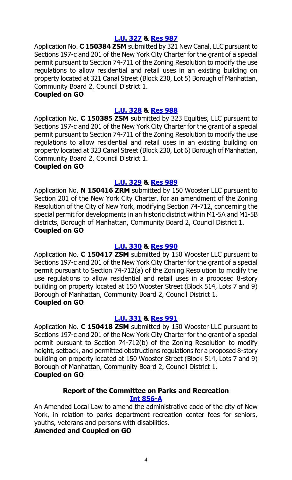#### **[L.U. 327](http://legistar.council.nyc.gov/LegislationDetail.aspx?ID=2552267&GUID=64A18E15-6EB9-4683-B33C-C64FEE55DC05&Options=ID|&Search=) & [Res](http://legistar.council.nyc.gov/LegislationDetail.aspx?ID=2558991&GUID=1DB69B2E-38EA-4C76-AEA0-9B9026AA832F&Options=ID|&Search=) 987**

Application No. **C 150384 ZSM** submitted by 321 New Canal, LLC pursuant to Sections 197-c and 201 of the New York City Charter for the grant of a special permit pursuant to Section 74-711 of the Zoning Resolution to modify the use regulations to allow residential and retail uses in an existing building on property located at 321 Canal Street (Block 230, Lot 5) Borough of Manhattan, Community Board 2, Council District 1.

#### **Coupled on GO**

#### **[L.U. 328](http://legistar.council.nyc.gov/LegislationDetail.aspx?ID=2552268&GUID=27E00575-404B-4A53-939B-FE13D45C0E7E&Options=ID|&Search=) & [Res](http://legistar.council.nyc.gov/LegislationDetail.aspx?ID=2558993&GUID=9C1B17BA-903F-40FA-AE0E-756F65303180&Options=ID|&Search=) 988**

Application No. **C 150385 ZSM** submitted by 323 Equities, LLC pursuant to Sections 197-c and 201 of the New York City Charter for the grant of a special permit pursuant to Section 74-711 of the Zoning Resolution to modify the use regulations to allow residential and retail uses in an existing building on property located at 323 Canal Street (Block 230, Lot 6) Borough of Manhattan, Community Board 2, Council District 1.

#### **Coupled on GO**

#### **[L.U. 329](http://legistar.council.nyc.gov/LegislationDetail.aspx?ID=2552269&GUID=C190F9F4-5DDB-497D-94B4-C69CFB5CE9E7&Options=ID|&Search=) & [Res](http://legistar.council.nyc.gov/LegislationDetail.aspx?ID=2558997&GUID=AFB44E0C-64D7-4161-B76A-060CD7DA6C41&Options=ID|&Search=) 989**

Application No. **N 150416 ZRM** submitted by 150 Wooster LLC pursuant to Section 201 of the New York City Charter, for an amendment of the Zoning Resolution of the City of New York, modifying Section 74-712, concerning the special permit for developments in an historic district within M1-5A and M1-5B districts, Borough of Manhattan, Community Board 2, Council District 1. **Coupled on GO**

#### **[L.U. 330](http://legistar.council.nyc.gov/LegislationDetail.aspx?ID=2552270&GUID=1335AD64-6185-44FA-BC52-137D5088255C&Options=ID|&Search=) & [Res](http://legistar.council.nyc.gov/LegislationDetail.aspx?ID=2558999&GUID=F6D19F0B-363A-40AC-A7AD-A2F7338DEF40&Options=ID|&Search=) 990**

Application No. **C 150417 ZSM** submitted by 150 Wooster LLC pursuant to Sections 197-c and 201 of the New York City Charter for the grant of a special permit pursuant to Section 74-712(a) of the Zoning Resolution to modify the use regulations to allow residential and retail uses in a proposed 8-story building on property located at 150 Wooster Street (Block 514, Lots 7 and 9) Borough of Manhattan, Community Board 2, Council District 1. **Coupled on GO**

#### **[L.U. 331](http://legistar.council.nyc.gov/LegislationDetail.aspx?ID=2552271&GUID=183A0639-BBDE-4BCE-B98C-FEA4D098D1F1&Options=ID|&Search=) & [Res](http://legistar.council.nyc.gov/LegislationDetail.aspx?ID=2559002&GUID=E2977D5A-33D5-4861-BE9A-343C51693899&Options=ID%7c&Search=) 991**

Application No. **C 150418 ZSM** submitted by 150 Wooster LLC pursuant to Sections 197-c and 201 of the New York City Charter for the grant of a special permit pursuant to Section 74-712(b) of the Zoning Resolution to modify height, setback, and permitted obstructions regulations for a proposed 8-story building on property located at 150 Wooster Street (Block 514, Lots 7 and 9) Borough of Manhattan, Community Board 2, Council District 1.

#### **Coupled on GO**

# **Report of the Committee on Parks and Recreation**

#### **[Int 856-A](http://legistar.council.nyc.gov/LegislationDetail.aspx?ID=2386610&GUID=095CE1C9-1DCC-4E54-983C-112E234D27BC&Options=ID%7c&Search=0856)**

An Amended Local Law to amend the administrative code of the city of New York, in relation to parks department recreation center fees for seniors, youths, veterans and persons with disabilities.

#### **Amended and Coupled on GO**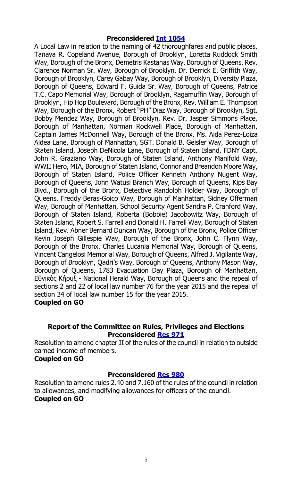A Local Law in relation to the naming of 42 thoroughfares and public places, Tanaya R. Copeland Avenue, Borough of Brooklyn, Loretta Ruddock Smith Way, Borough of the Bronx, Demetris Kastanas Way, Borough of Queens, Rev. Clarence Norman Sr. Way, Borough of Brooklyn, Dr. Derrick E. Griffith Way, Borough of Brooklyn, Carey Gabay Way, Borough of Brooklyn, Diversity Plaza, Borough of Queens, Edward F. Guida Sr. Way, Borough of Queens, Patrice T.C. Capo Memorial Way, Borough of Brooklyn, Ragamuffin Way, Borough of Brooklyn, Hip Hop Boulevard, Borough of the Bronx, Rev. William E. Thompson Way, Borough of the Bronx, Robert "PH" Diaz Way, Borough of Brooklyn, Sgt. Bobby Mendez Way, Borough of Brooklyn, Rev. Dr. Jasper Simmons Place, Borough of Manhattan, Norman Rockwell Place, Borough of Manhattan, Captain James McDonnell Way, Borough of the Bronx, Ms. Aida Perez-Loiza Aldea Lane, Borough of Manhattan, SGT. Donald B. Geisler Way, Borough of Staten Island, Joseph DeNicola Lane, Borough of Staten Island, FDNY Capt. John R. Graziano Way, Borough of Staten Island, Anthony Manifold Way, WWII Hero, MIA, Borough of Staten Island, Connor and Breandon Moore Way, Borough of Staten Island, Police Officer Kenneth Anthony Nugent Way, Borough of Queens, John Watusi Branch Way, Borough of Queens, Kips Bay Blvd., Borough of the Bronx, Detective Randolph Holder Way, Borough of Queens, Freddy Beras-Goico Way, Borough of Manhattan, Sidney Offerman Way, Borough of Manhattan, School Security Agent Sandra P. Cranford Way, Borough of Staten Island, Roberta (Bobbie) Jacobowitz Way, Borough of Staten Island, Robert S. Farrell and Donald H. Farrell Way, Borough of Staten Island, Rev. Abner Bernard Duncan Way, Borough of the Bronx, Police Officer Kevin Joseph Gillespie Way, Borough of the Bronx, John C. Flynn Way, Borough of the Bronx, Charles Lucania Memorial Way, Borough of Queens, Vincent Cangelosi Memorial Way, Borough of Queens, Alfred J. Vigilante Way, Borough of Brooklyn, Qadri's Way, Borough of Queens, Anthony Mason Way, Borough of Queens, 1783 Evacuation Day Plaza, Borough of Manhattan, Εθνικός Κήρυξ - National Herald Way, Borough of Queens and the repeal of sections 2 and 22 of local law number 76 for the year 2015 and the repeal of section 34 of local law number 15 for the year 2015. **Coupled on GO**

#### **Report of the Committee on Rules, Privileges and Elections Preconsidered [Res](http://legistar.council.nyc.gov/LegislationDetail.aspx?ID=2560838&GUID=CC7D4639-59EF-4AEF-A013-CA2F9DF7F87E&Options=ID|&Search=) 971**

Resolution to amend chapter II of the rules of the council in relation to outside earned income of members.

#### **Coupled on GO**

# **Preconsidered [Res](http://legistar.council.nyc.gov/LegislationDetail.aspx?ID=2560302&GUID=5D3FB44B-9371-41B3-B1B3-62671966AD79&Options=ID|&Search=) 980**

Resolution to amend rules 2.40 and 7.160 of the rules of the council in relation to allowances, and modifying allowances for officers of the council. **Coupled on GO**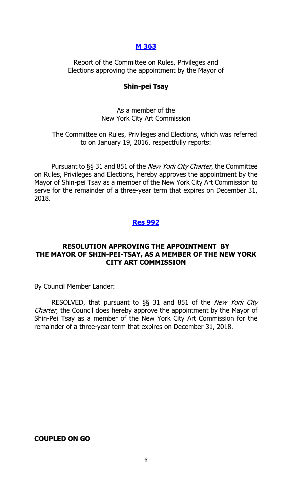#### **[M 363](http://legistar.council.nyc.gov/LegislationDetail.aspx?ID=2552259&GUID=A4351131-05C9-43B4-9F2C-E2AA728438C8&Options=ID|&Search=)**

Report of the Committee on Rules, Privileges and Elections approving the appointment by the Mayor of

#### **Shin-pei Tsay**

#### As a member of the New York City Art Commission

The Committee on Rules, Privileges and Elections, which was referred to on January 19, 2016, respectfully reports:

Pursuant to §§ 31 and 851 of the *New York City Charter*, the Committee on Rules, Privileges and Elections, hereby approves the appointment by the Mayor of Shin-pei Tsay as a member of the New York City Art Commission to serve for the remainder of a three-year term that expires on December 31, 2018.

#### **Res [992](http://legistar.council.nyc.gov/LegislationDetail.aspx?ID=2562822&GUID=FEC63E75-EA45-4144-AAF9-7481311460AC&Options=ID|&Search=)**

#### **RESOLUTION APPROVING THE APPOINTMENT BY THE MAYOR OF SHIN-PEI-TSAY, AS A MEMBER OF THE NEW YORK CITY ART COMMISSION**

By Council Member Lander:

RESOLVED, that pursuant to §§ 31 and 851 of the New York City Charter, the Council does hereby approve the appointment by the Mayor of Shin-Pei Tsay as a member of the New York City Art Commission for the remainder of a three-year term that expires on December 31, 2018.

#### **COUPLED ON GO**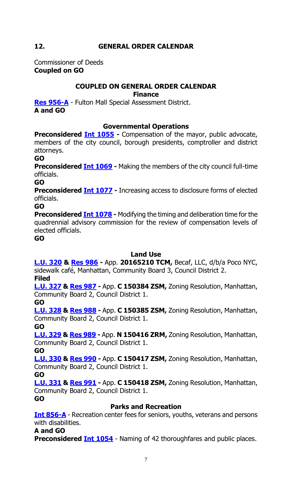# **12. GENERAL ORDER CALENDAR**

Commissioner of Deeds **Coupled on GO**

# **COUPLED ON GENERAL ORDER CALENDAR**

**Finance**

**[Res 956-A](http://legistar.council.nyc.gov/LegislationDetail.aspx?ID=2552263&GUID=6725CE14-3699-4E05-B98F-8F9794A0DB5F&Options=ID%7cText%7c&Search=0956)** - Fulton Mall Special Assessment District. **A and GO**

# **Governmental Operations**

**Preconsidered Int [1055](http://legistar.council.nyc.gov/LegislationDetail.aspx?ID=2560150&GUID=1492C6E5-AE93-4EA9-9AEE-C30E113DC3D2&Options=ID|&Search=) -** Compensation of the mayor, public advocate, members of the city council, borough presidents, comptroller and district attorneys.

#### **GO**

**Preconsidered Int [1069](http://legistar.council.nyc.gov/LegislationDetail.aspx?ID=2560152&GUID=52D3026A-7111-4C0A-B8B6-4215192147E9&Options=ID|&Search=) -** Making the members of the city council full-time officials.

**GO**

**Preconsidered Int [1077](http://legistar.council.nyc.gov/LegislationDetail.aspx?ID=2560151&GUID=1C945F0B-5A15-4BC3-A3BC-B4A67DEE1398&Options=ID|&Search=)** - Increasing access to disclosure forms of elected officials.

**GO**

**Preconsidered Int [1078](http://legistar.council.nyc.gov/LegislationDetail.aspx?ID=2560159&GUID=B2BFDDE7-946B-468E-915D-28CB513FE828&Options=ID%7c&Search=)** - Modifying the timing and deliberation time for the quadrennial advisory commission for the review of compensation levels of elected officials.

**GO**

# **Land Use**

**[L.U. 320](http://legistar.council.nyc.gov/LegislationDetail.aspx?ID=2543697&GUID=3358F4E2-B1D8-4E0A-A520-4FE2614E1463&Options=ID%7c&Search=) & [Res 986](http://legistar.council.nyc.gov/LegislationDetail.aspx?ID=2558987&GUID=40FB441B-CE52-4D7B-91A8-687A68413E40&Options=ID|&Search=) -** App. **20165210 TCM,** Becaf, LLC, d/b/a Poco NYC, sidewalk café, Manhattan, Community Board 3, Council District 2.

#### **Filed**

**[L.U. 327](http://legistar.council.nyc.gov/LegislationDetail.aspx?ID=2552267&GUID=64A18E15-6EB9-4683-B33C-C64FEE55DC05&Options=ID|&Search=) & [Res 987](http://legistar.council.nyc.gov/LegislationDetail.aspx?ID=2558991&GUID=1DB69B2E-38EA-4C76-AEA0-9B9026AA832F&Options=ID|&Search=) -** App. **C 150384 ZSM,** Zoning Resolution, Manhattan, Community Board 2, Council District 1.

#### **GO**

**[L.U. 328](http://legistar.council.nyc.gov/LegislationDetail.aspx?ID=2552268&GUID=27E00575-404B-4A53-939B-FE13D45C0E7E&Options=ID|&Search=) & [Res](http://legistar.council.nyc.gov/LegislationDetail.aspx?ID=2558993&GUID=9C1B17BA-903F-40FA-AE0E-756F65303180&Options=ID|&Search=) 988 -** App. **C 150385 ZSM,** Zoning Resolution, Manhattan, Community Board 2, Council District 1.

**GO**

**[L.U. 329](http://legistar.council.nyc.gov/LegislationDetail.aspx?ID=2552269&GUID=C190F9F4-5DDB-497D-94B4-C69CFB5CE9E7&Options=ID|&Search=) & [Res](http://legistar.council.nyc.gov/LegislationDetail.aspx?ID=2558997&GUID=AFB44E0C-64D7-4161-B76A-060CD7DA6C41&Options=ID|&Search=) 989 -** App. **N 150416 ZRM,** Zoning Resolution, Manhattan, Community Board 2, Council District 1.

**GO**

**[L.U. 330](http://legistar.council.nyc.gov/LegislationDetail.aspx?ID=2552270&GUID=1335AD64-6185-44FA-BC52-137D5088255C&Options=ID|&Search=) & [Res](http://legistar.council.nyc.gov/LegislationDetail.aspx?ID=2558999&GUID=F6D19F0B-363A-40AC-A7AD-A2F7338DEF40&Options=ID|&Search=) 990 -** App. **C 150417 ZSM,** Zoning Resolution, Manhattan, Community Board 2, Council District 1.

**GO**

**[L.U. 331](http://legistar.council.nyc.gov/LegislationDetail.aspx?ID=2552271&GUID=183A0639-BBDE-4BCE-B98C-FEA4D098D1F1&Options=ID|&Search=) & [Res](http://legistar.council.nyc.gov/LegislationDetail.aspx?ID=2559002&GUID=E2977D5A-33D5-4861-BE9A-343C51693899&Options=ID%7c&Search=) 991 -** App. **C 150418 ZSM,** Zoning Resolution, Manhattan, Community Board 2, Council District 1.

**GO**

# **Parks and Recreation**

**[Int 856-A](http://legistar.council.nyc.gov/LegislationDetail.aspx?ID=2386610&GUID=095CE1C9-1DCC-4E54-983C-112E234D27BC&Options=ID%7c&Search=0856)** - Recreation center fees for seniors, youths, veterans and persons with disabilities.

# **A and GO**

**Preconsidered Int [1054](http://legistar.council.nyc.gov/LegislationDetail.aspx?ID=2561110&GUID=1CC37881-D606-4F6B-9A7B-479AEB86D71F&Options=ID|&Search=)** - Naming of 42 thoroughfares and public places.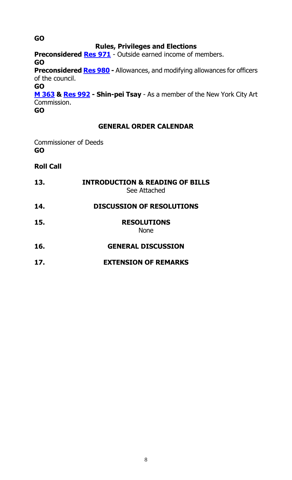# **Rules, Privileges and Elections**

**Preconsidered [Res](http://legistar.council.nyc.gov/LegislationDetail.aspx?ID=2560838&GUID=CC7D4639-59EF-4AEF-A013-CA2F9DF7F87E&Options=ID|&Search=) 971** - Outside earned income of members. **GO Preconsidered [Res](http://legistar.council.nyc.gov/LegislationDetail.aspx?ID=2560302&GUID=5D3FB44B-9371-41B3-B1B3-62671966AD79&Options=ID|&Search=) 980 -** Allowances, and modifying allowances for officers of the council.

**GO [M 363](http://legistar.council.nyc.gov/LegislationDetail.aspx?ID=2552259&GUID=A4351131-05C9-43B4-9F2C-E2AA728438C8&Options=ID|&Search=) & [Res 992](http://legistar.council.nyc.gov/LegislationDetail.aspx?ID=2562822&GUID=FEC63E75-EA45-4144-AAF9-7481311460AC&Options=ID|&Search=) - Shin-pei Tsay** - As a member of the New York City Art Commission.

**GO**

# **GENERAL ORDER CALENDAR**

Commissioner of Deeds **GO**

**Roll Call**

| 13. | <b>INTRODUCTION &amp; READING OF BILLS</b><br>See Attached |
|-----|------------------------------------------------------------|
| 14. | <b>DISCUSSION OF RESOLUTIONS</b>                           |
| 15. | <b>RESOLUTIONS</b><br><b>None</b>                          |
| 16. | <b>GENERAL DISCUSSION</b>                                  |
| 17. | <b>EXTENSION OF REMARKS</b>                                |

**GO**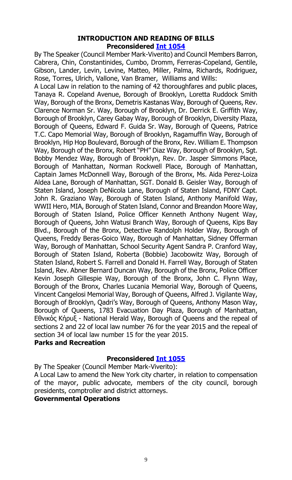#### **INTRODUCTION AND READING OF BILLS Preconsidered [Int 1054](http://legistar.council.nyc.gov/LegislationDetail.aspx?ID=2561110&GUID=1CC37881-D606-4F6B-9A7B-479AEB86D71F&Options=ID|&Search=)**

By The Speaker (Council Member Mark-Viverito) and Council Members Barron, Cabrera, Chin, Constantinides, Cumbo, Dromm, Ferreras-Copeland, Gentile, Gibson, Lander, Levin, Levine, Matteo, Miller, Palma, Richards, Rodriguez, Rose, Torres, Ulrich, Vallone, Van Bramer, Williams and Wills:

A Local Law in relation to the naming of 42 thoroughfares and public places, Tanaya R. Copeland Avenue, Borough of Brooklyn, Loretta Ruddock Smith Way, Borough of the Bronx, Demetris Kastanas Way, Borough of Queens, Rev. Clarence Norman Sr. Way, Borough of Brooklyn, Dr. Derrick E. Griffith Way, Borough of Brooklyn, Carey Gabay Way, Borough of Brooklyn, Diversity Plaza, Borough of Queens, Edward F. Guida Sr. Way, Borough of Queens, Patrice T.C. Capo Memorial Way, Borough of Brooklyn, Ragamuffin Way, Borough of Brooklyn, Hip Hop Boulevard, Borough of the Bronx, Rev. William E. Thompson Way, Borough of the Bronx, Robert "PH" Diaz Way, Borough of Brooklyn, Sgt. Bobby Mendez Way, Borough of Brooklyn, Rev. Dr. Jasper Simmons Place, Borough of Manhattan, Norman Rockwell Place, Borough of Manhattan, Captain James McDonnell Way, Borough of the Bronx, Ms. Aida Perez-Loiza Aldea Lane, Borough of Manhattan, SGT. Donald B. Geisler Way, Borough of Staten Island, Joseph DeNicola Lane, Borough of Staten Island, FDNY Capt. John R. Graziano Way, Borough of Staten Island, Anthony Manifold Way, WWII Hero, MIA, Borough of Staten Island, Connor and Breandon Moore Way, Borough of Staten Island, Police Officer Kenneth Anthony Nugent Way, Borough of Queens, John Watusi Branch Way, Borough of Queens, Kips Bay Blvd., Borough of the Bronx, Detective Randolph Holder Way, Borough of Queens, Freddy Beras-Goico Way, Borough of Manhattan, Sidney Offerman Way, Borough of Manhattan, School Security Agent Sandra P. Cranford Way, Borough of Staten Island, Roberta (Bobbie) Jacobowitz Way, Borough of Staten Island, Robert S. Farrell and Donald H. Farrell Way, Borough of Staten Island, Rev. Abner Bernard Duncan Way, Borough of the Bronx, Police Officer Kevin Joseph Gillespie Way, Borough of the Bronx, John C. Flynn Way, Borough of the Bronx, Charles Lucania Memorial Way, Borough of Queens, Vincent Cangelosi Memorial Way, Borough of Queens, Alfred J. Vigilante Way, Borough of Brooklyn, Qadri's Way, Borough of Queens, Anthony Mason Way, Borough of Queens, 1783 Evacuation Day Plaza, Borough of Manhattan, Εθνικός Κήρυξ - National Herald Way, Borough of Queens and the repeal of sections 2 and 22 of local law number 76 for the year 2015 and the repeal of section 34 of local law number 15 for the year 2015.

### **Parks and Recreation**

#### **Preconsidered [Int 1055](http://legistar.council.nyc.gov/LegislationDetail.aspx?ID=2560150&GUID=1492C6E5-AE93-4EA9-9AEE-C30E113DC3D2&Options=ID|&Search=)**

By The Speaker (Council Member Mark-Viverito):

A Local Law to amend the New York city charter, in relation to compensation of the mayor, public advocate, members of the city council, borough presidents, comptroller and district attorneys.

#### **Governmental Operations**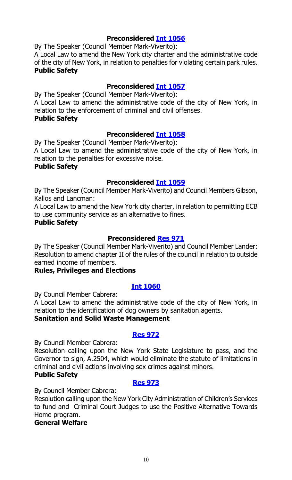By The Speaker (Council Member Mark-Viverito):

A Local Law to amend the New York city charter and the administrative code of the city of New York, in relation to penalties for violating certain park rules. **Public Safety**

# **Preconsidered [Int 1057](http://legistar.council.nyc.gov/LegislationDetail.aspx?ID=2553507&GUID=BF52096B-1917-4914-977F-91E604025A50&Options=ID|&Search=)**

By The Speaker (Council Member Mark-Viverito): A Local Law to amend the administrative code of the city of New York, in relation to the enforcement of criminal and civil offenses. **Public Safety**

### **Preconsidered [Int 1058](http://legistar.council.nyc.gov/LegislationDetail.aspx?ID=2553509&GUID=E41CBE88-2F91-4A68-9210-46B5474064D9&Options=ID|&Search=)**

By The Speaker (Council Member Mark-Viverito): A Local Law to amend the administrative code of the city of New York, in relation to the penalties for excessive noise.

#### **Public Safety**

#### **Preconsidered [Int 1059](http://legistar.council.nyc.gov/LegislationDetail.aspx?ID=2553512&GUID=D93F40DB-CD7D-424C-AC63-AECEACBD4D06&Options=ID|&Search=)**

By The Speaker (Council Member Mark-Viverito) and Council Members Gibson, Kallos and Lancman:

A Local Law to amend the New York city charter, in relation to permitting ECB to use community service as an alternative to fines.

#### **Public Safety**

# **Preconsidered [Res 971](http://legistar.council.nyc.gov/LegislationDetail.aspx?ID=2560838&GUID=CC7D4639-59EF-4AEF-A013-CA2F9DF7F87E&Options=ID|&Search=)**

By The Speaker (Council Member Mark-Viverito) and Council Member Lander: Resolution to amend chapter II of the rules of the council in relation to outside earned income of members.

#### **Rules, Privileges and Elections**

#### **[Int 1060](http://legistar.council.nyc.gov/LegislationDetail.aspx?ID=2564362&GUID=2E94613E-A4F8-4186-8278-E5D7358F7FBD&Options=ID|&Search=)**

By Council Member Cabrera:

A Local Law to amend the administrative code of the city of New York, in relation to the identification of dog owners by sanitation agents.

#### **Sanitation and Solid Waste Management**

#### **[Res 972](http://legistar.council.nyc.gov/LegislationDetail.aspx?ID=2564376&GUID=2CC17C4E-2176-40CB-954E-DF2BF1C32600&Options=ID|&Search=)**

By Council Member Cabrera:

Resolution calling upon the New York State Legislature to pass, and the Governor to sign, A.2504, which would eliminate the statute of limitations in criminal and civil actions involving sex crimes against minors.

#### **Public Safety**

#### **[Res 973](http://legistar.council.nyc.gov/LegislationDetail.aspx?ID=2564377&GUID=6D753A43-9CA7-411F-93EC-1568F032BCFB&Options=ID|&Search=)**

By Council Member Cabrera:

Resolution calling upon the New York City Administration of Children's Services to fund and Criminal Court Judges to use the Positive Alternative Towards Home program.

#### **General Welfare**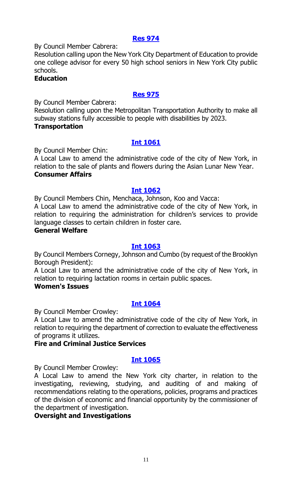#### **[Res 974](http://legistar.council.nyc.gov/LegislationDetail.aspx?ID=2564378&GUID=E6747D30-BC87-4437-84AC-53906DF4D89D&Options=ID|&Search=)**

By Council Member Cabrera:

Resolution calling upon the New York City Department of Education to provide one college advisor for every 50 high school seniors in New York City public schools.

#### **Education**

### **[Res 975](http://legistar.council.nyc.gov/LegislationDetail.aspx?ID=2564380&GUID=9A2190AC-FFCA-453D-A958-8CA0C43FB1C1&Options=ID|&Search=)**

By Council Member Cabrera:

Resolution calling upon the Metropolitan Transportation Authority to make all subway stations fully accessible to people with disabilities by 2023.

## **Transportation**

### **[Int 1061](http://legistar.council.nyc.gov/LegislationDetail.aspx?ID=2564363&GUID=697A2A0C-39FF-4330-AFC5-B141CA9F68AC&Options=ID|&Search=)**

By Council Member Chin:

A Local Law to amend the administrative code of the city of New York, in relation to the sale of plants and flowers during the Asian Lunar New Year. **Consumer Affairs**

#### **[Int 1062](http://legistar.council.nyc.gov/LegislationDetail.aspx?ID=2564361&GUID=0E5E15F3-8553-4219-92B1-621169B80E49&Options=ID|&Search=)**

By Council Members Chin, Menchaca, Johnson, Koo and Vacca: A Local Law to amend the administrative code of the city of New York, in relation to requiring the administration for children's services to provide language classes to certain children in foster care.

#### **General Welfare**

#### **[Int 1063](http://legistar.council.nyc.gov/LegislationDetail.aspx?ID=2564367&GUID=B5654268-9099-4D1D-B3F0-2200DF8D351B&Options=ID|&Search=)**

By Council Members Cornegy, Johnson and Cumbo (by request of the Brooklyn Borough President):

A Local Law to amend the administrative code of the city of New York, in relation to requiring lactation rooms in certain public spaces.

#### **Women's Issues**

# **[Int 1064](http://legistar.council.nyc.gov/LegislationDetail.aspx?ID=2564368&GUID=9509FD33-E5EB-431A-9030-AE42156BC3DD&Options=ID|&Search=)**

By Council Member Crowley:

A Local Law to amend the administrative code of the city of New York, in relation to requiring the department of correction to evaluate the effectiveness of programs it utilizes.

#### **Fire and Criminal Justice Services**

# **[Int 1065](http://legistar.council.nyc.gov/LegislationDetail.aspx?ID=2564369&GUID=4B428FF5-BFAC-4123-983D-F7F5ED1968E1&Options=ID|&Search=)**

By Council Member Crowley:

A Local Law to amend the New York city charter, in relation to the investigating, reviewing, studying, and auditing of and making of recommendations relating to the operations, policies, programs and practices of the division of economic and financial opportunity by the commissioner of the department of investigation.

# **Oversight and Investigations**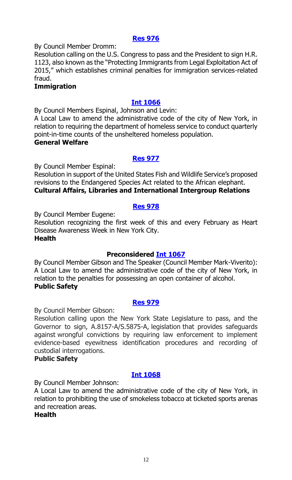#### **[Res 976](http://legistar.council.nyc.gov/LegislationDetail.aspx?ID=2564374&GUID=58DBE367-83B0-4613-B4FB-28DE937C083D&Options=ID|&Search=)**

By Council Member Dromm:

Resolution calling on the U.S. Congress to pass and the President to sign H.R. 1123, also known as the "Protecting Immigrants from Legal Exploitation Act of 2015," which establishes criminal penalties for immigration services-related fraud.

#### **Immigration**

#### **[Int 1066](http://legistar.council.nyc.gov/LegislationDetail.aspx?ID=2564371&GUID=8E34CF05-D882-407A-8066-22603B7FD3B6&Options=ID|&Search=)**

By Council Members Espinal, Johnson and Levin:

A Local Law to amend the administrative code of the city of New York, in relation to requiring the department of homeless service to conduct quarterly point-in-time counts of the unsheltered homeless population.

#### **General Welfare**

#### **[Res 977](http://legistar.council.nyc.gov/LegislationDetail.aspx?ID=2564383&GUID=4E5468DE-B68D-4879-A489-27C09AC4701C&Options=ID|&Search=)**

By Council Member Espinal:

Resolution in support of the United States Fish and Wildlife Service's proposed revisions to the Endangered Species Act related to the African elephant. **Cultural Affairs, Libraries and International Intergroup Relations**

#### **[Res 978](http://legistar.council.nyc.gov/LegislationDetail.aspx?ID=2564381&GUID=7248E71D-55AD-45A3-8EB0-34197FA9FA71&Options=ID|&Search=)**

By Council Member Eugene:

Resolution recognizing the first week of this and every February as Heart Disease Awareness Week in New York City.

#### **Health**

# **Preconsidered [Int 1067](http://legistar.council.nyc.gov/LegislationDetail.aspx?ID=2553510&GUID=CA10BB5F-E09B-4562-89CD-BF86236EDA15&Options=ID|&Search=)**

By Council Member Gibson and The Speaker (Council Member Mark-Viverito): A Local Law to amend the administrative code of the city of New York, in relation to the penalties for possessing an open container of alcohol. **Public Safety**

#### **[Res 979](http://legistar.council.nyc.gov/LegislationDetail.aspx?ID=2564382&GUID=835F2E88-6197-4C1D-BD06-2FF7FB9C4C70&Options=ID|&Search=)**

By Council Member Gibson:

Resolution calling upon the New York State Legislature to pass, and the Governor to sign, A.8157-A/S.5875-A, legislation that provides safeguards against wrongful convictions by requiring law enforcement to implement evidence-based eyewitness identification procedures and recording of custodial interrogations.

#### **Public Safety**

# **[Int 1068](http://legistar.council.nyc.gov/LegislationDetail.aspx?ID=2564370&GUID=2DF20445-53EA-4C38-ABD5-9FC774D8DEB2&Options=ID|&Search=)**

By Council Member Johnson:

A Local Law to amend the administrative code of the city of New York, in relation to prohibiting the use of smokeless tobacco at ticketed sports arenas and recreation areas.

#### **Health**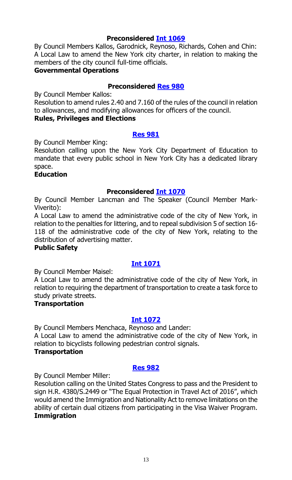By Council Members Kallos, Garodnick, Reynoso, Richards, Cohen and Chin: A Local Law to amend the New York city charter, in relation to making the members of the city council full-time officials.

#### **Governmental Operations**

### **Preconsidered [Res 980](http://legistar.council.nyc.gov/LegislationDetail.aspx?ID=2560302&GUID=5D3FB44B-9371-41B3-B1B3-62671966AD79&Options=ID|&Search=)**

By Council Member Kallos:

Resolution to amend rules 2.40 and 7.160 of the rules of the council in relation to allowances, and modifying allowances for officers of the council.

### **Rules, Privileges and Elections**

#### **[Res 981](http://legistar.council.nyc.gov/LegislationDetail.aspx?ID=2564385&GUID=8F2AF6A9-F7A5-49AE-85F9-39C9F4395A3C&Options=ID|&Search=)**

By Council Member King:

Resolution calling upon the New York City Department of Education to mandate that every public school in New York City has a dedicated library space.

#### **Education**

#### **Preconsidered [Int 1070](http://legistar.council.nyc.gov/LegislationDetail.aspx?ID=2553508&GUID=1C114CB9-C266-46AD-A67B-750568C524E5&Options=ID|&Search=)**

By Council Member Lancman and The Speaker (Council Member Mark-Viverito):

A Local Law to amend the administrative code of the city of New York, in relation to the penalties for littering, and to repeal subdivision 5 of section 16- 118 of the administrative code of the city of New York, relating to the distribution of advertising matter.

#### **Public Safety**

# **[Int 1071](http://legistar.council.nyc.gov/LegislationDetail.aspx?ID=2564365&GUID=06DE0DCC-DFB0-4A6F-A35F-4EDAECA5D5CE&Options=ID|&Search=)**

By Council Member Maisel:

A Local Law to amend the administrative code of the city of New York, in relation to requiring the department of transportation to create a task force to study private streets.

#### **Transportation**

#### **[Int 1072](http://legistar.council.nyc.gov/LegislationDetail.aspx?ID=2564366&GUID=D4E7E09A-5B98-4C14-BAC8-A9D242408B26&Options=ID|&Search=)**

By Council Members Menchaca, Reynoso and Lander: A Local Law to amend the administrative code of the city of New York, in

relation to bicyclists following pedestrian control signals.

#### **Transportation**

#### **[Res 982](http://legistar.council.nyc.gov/LegislationDetail.aspx?ID=2564384&GUID=197D922A-FC3C-424C-ADB9-5302C4A12DB0&Options=ID|&Search=)**

By Council Member Miller:

Resolution calling on the United States Congress to pass and the President to sign H.R. 4380/S.2449 or "The Equal Protection in Travel Act of 2016", which would amend the Immigration and Nationality Act to remove limitations on the ability of certain dual citizens from participating in the Visa Waiver Program. **Immigration**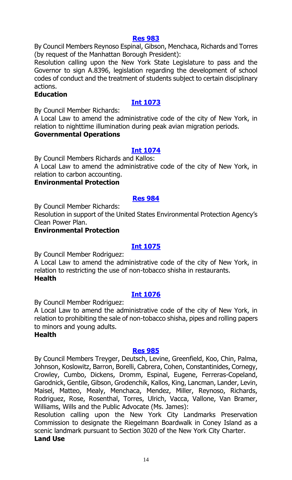#### **[Res 983](http://legistar.council.nyc.gov/LegislationDetail.aspx?ID=2564379&GUID=80D4D919-9925-40AB-9625-33E3E079BCD8&Options=ID|&Search=)**

By Council Members Reynoso Espinal, Gibson, Menchaca, Richards and Torres (by request of the Manhattan Borough President):

Resolution calling upon the New York State Legislature to pass and the Governor to sign A.8396, legislation regarding the development of school codes of conduct and the treatment of students subject to certain disciplinary actions.

#### **Education**

# **[Int 1073](http://legistar.council.nyc.gov/LegislationDetail.aspx?ID=2564387&GUID=0D770C07-1714-474E-927D-1FDCBCF7E9A6&Options=ID|&Search=)**

By Council Member Richards:

A Local Law to amend the administrative code of the city of New York, in relation to nighttime illumination during peak avian migration periods.

#### **Governmental Operations**

### **[Int 1074](http://legistar.council.nyc.gov/LegislationDetail.aspx?ID=2564386&GUID=3C08791C-D3D4-47EE-9DA9-EA4734559E8A&Options=ID|&Search=)**

By Council Members Richards and Kallos:

A Local Law to amend the administrative code of the city of New York, in relation to carbon accounting.

#### **Environmental Protection**

#### **[Res 984](http://legistar.council.nyc.gov/LegislationDetail.aspx?ID=2564375&GUID=9B358479-ECD4-48D0-B5D0-8912F01C6196&Options=ID|&Search=)**

By Council Member Richards:

Resolution in support of the United States Environmental Protection Agency's Clean Power Plan.

#### **Environmental Protection**

#### **[Int 1075](http://legistar.council.nyc.gov/LegislationDetail.aspx?ID=2564373&GUID=790B4883-800D-4CE5-8C39-C8FDDE07E300&Options=ID|&Search=)**

By Council Member Rodriguez:

A Local Law to amend the administrative code of the city of New York, in relation to restricting the use of non-tobacco shisha in restaurants. **Health**

#### **[Int 1076](http://legistar.council.nyc.gov/LegislationDetail.aspx?ID=2564372&GUID=C2A12981-0597-4C17-9B1F-9E3F2EF0EB6F&Options=ID|&Search=)**

By Council Member Rodriguez:

A Local Law to amend the administrative code of the city of New York, in relation to prohibiting the sale of non-tobacco shisha, pipes and rolling papers to minors and young adults.

#### **Health**

#### **[Res 985](http://legistar.council.nyc.gov/LegislationDetail.aspx?ID=2564393&GUID=D72B7242-498D-4C2F-8ED7-B86B6483FE5A&Options=ID|&Search=)**

By Council Members Treyger, Deutsch, Levine, Greenfield, Koo, Chin, Palma, Johnson, Koslowitz, Barron, Borelli, Cabrera, Cohen, Constantinides, Cornegy, Crowley, Cumbo, Dickens, Dromm, Espinal, Eugene, Ferreras-Copeland, Garodnick, Gentile, Gibson, Grodenchik, Kallos, King, Lancman, Lander, Levin, Maisel, Matteo, Mealy, Menchaca, Mendez, Miller, Reynoso, Richards, Rodriguez, Rose, Rosenthal, Torres, Ulrich, Vacca, Vallone, Van Bramer, Williams, Wills and the Public Advocate (Ms. James):

Resolution calling upon the New York City Landmarks Preservation Commission to designate the Riegelmann Boardwalk in Coney Island as a scenic landmark pursuant to Section 3020 of the New York City Charter. **Land Use**